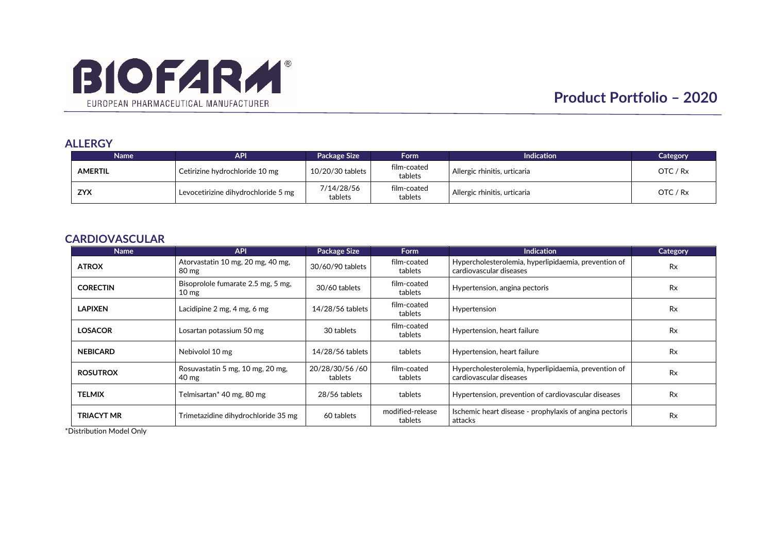

## **ALLERGY**

| Name           | <b>API</b>                          | <b>Package Size</b>   | Form <b>b</b>          | <b>Indication</b>            | Category   |
|----------------|-------------------------------------|-----------------------|------------------------|------------------------------|------------|
| <b>AMERTIL</b> | Cetirizine hydrochloride 10 mg      | 10/20/30 tablets      | film-coated<br>tablets | Allergic rhinitis, urticaria | OTC / Rx   |
| <b>ZYX</b>     | Levocetirizine dihydrochloride 5 mg | 7/14/28/56<br>tablets | film-coated<br>tablets | Allergic rhinitis, urticaria | OTC $/$ Rx |

## **CARDIOVASCULAR**

| Name              | <b>API</b>                                            | Package Size               | <b>Form</b>                 | <b>Indication</b>                                                               | Category  |
|-------------------|-------------------------------------------------------|----------------------------|-----------------------------|---------------------------------------------------------------------------------|-----------|
| <b>ATROX</b>      | Atorvastatin 10 mg, 20 mg, 40 mg,<br>80 mg            | 30/60/90 tablets           | film-coated<br>tablets      | Hypercholesterolemia, hyperlipidaemia, prevention of<br>cardiovascular diseases | <b>Rx</b> |
| <b>CORECTIN</b>   | Bisoprolole fumarate 2.5 mg, 5 mg,<br>$10 \text{ mg}$ | 30/60 tablets              | film-coated<br>tablets      | Hypertension, angina pectoris                                                   | <b>Rx</b> |
| <b>LAPIXEN</b>    | Lacidipine 2 mg, 4 mg, 6 mg                           | 14/28/56 tablets           | film-coated<br>tablets      | Hypertension                                                                    | <b>Rx</b> |
| <b>LOSACOR</b>    | Losartan potassium 50 mg                              | 30 tablets                 | film-coated<br>tablets      | Hypertension, heart failure                                                     | <b>Rx</b> |
| <b>NEBICARD</b>   | Nebivolol 10 mg                                       | 14/28/56 tablets           | tablets                     | Hypertension, heart failure                                                     | <b>Rx</b> |
| <b>ROSUTROX</b>   | Rosuvastatin 5 mg, 10 mg, 20 mg,<br>40 mg             | 20/28/30/56 /60<br>tablets | film-coated<br>tablets      | Hypercholesterolemia, hyperlipidaemia, prevention of<br>cardiovascular diseases | <b>Rx</b> |
| <b>TELMIX</b>     | Telmisartan* 40 mg, 80 mg                             | 28/56 tablets              | tablets                     | Hypertension, prevention of cardiovascular diseases                             | <b>Rx</b> |
| <b>TRIACYT MR</b> | Trimetazidine dihydrochloride 35 mg                   | 60 tablets                 | modified-release<br>tablets | Ischemic heart disease - prophylaxis of angina pectoris<br>attacks              | <b>Rx</b> |

\*Distribution Model Only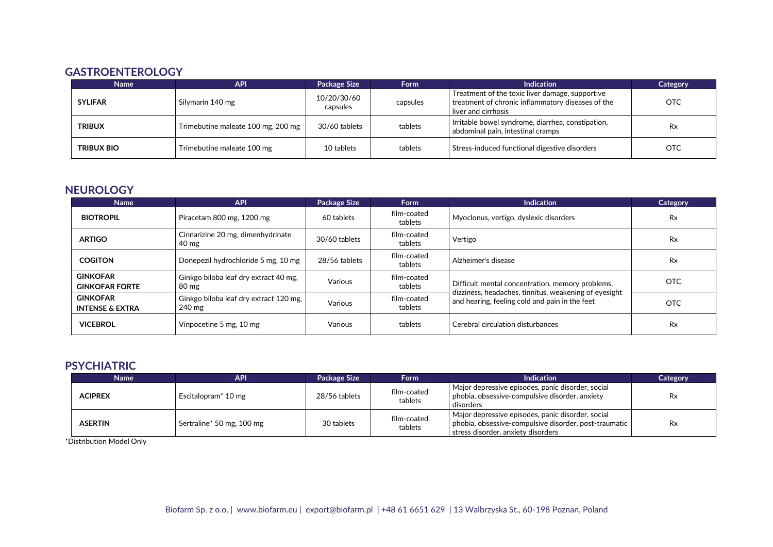# **GASTROENTEROLOGY**

| <b>Name</b>       | <b>API</b>                         | <b>Package Size</b>     | <b>Form</b> | <b>Indication</b>                                                                                                           | <b>Category</b> |
|-------------------|------------------------------------|-------------------------|-------------|-----------------------------------------------------------------------------------------------------------------------------|-----------------|
| <b>SYLIFAR</b>    | Silymarin 140 mg                   | 10/20/30/60<br>capsules | capsules    | Treatment of the toxic liver damage, supportive<br>treatment of chronic inflammatory diseases of the<br>liver and cirrhosis | OTC             |
| <b>TRIBUX</b>     | Trimebutine maleate 100 mg, 200 mg | 30/60 tablets           | tablets     | Irritable bowel syndrome, diarrhea, constipation,<br>abdominal pain, intestinal cramps                                      | Rx              |
| <b>TRIBUX BIO</b> | Trimebutine maleate 100 mg         | 10 tablets              | tablets     | Stress-induced functional digestive disorders                                                                               | <b>OTC</b>      |

## **NEUROLOGY**

| <b>Name</b>                                   | <b>API</b>                                           | <b>Package Size</b> | <b>Form</b>            | Indication                                                                                                | <b>Category</b> |
|-----------------------------------------------|------------------------------------------------------|---------------------|------------------------|-----------------------------------------------------------------------------------------------------------|-----------------|
| <b>BIOTROPIL</b>                              | Piracetam 800 mg, 1200 mg                            | 60 tablets          | film-coated<br>tablets | Myoclonus, vertigo, dyslexic disorders                                                                    | <b>Rx</b>       |
| <b>ARTIGO</b>                                 | Cinnarizine 20 mg, dimenhydrinate<br>$40 \text{ mg}$ | 30/60 tablets       | film-coated<br>tablets | Vertigo                                                                                                   | <b>Rx</b>       |
| <b>COGITON</b>                                | Donepezil hydrochloride 5 mg, 10 mg                  | 28/56 tablets       | film-coated<br>tablets | Alzheimer's disease                                                                                       | <b>Rx</b>       |
| <b>GINKOFAR</b><br><b>GINKOFAR FORTE</b>      | Ginkgo biloba leaf dry extract 40 mg,<br>80 mg       | Various             | film-coated<br>tablets | Difficult mental concentration, memory problems,<br>dizziness, headaches, tinnitus, weakening of eyesight | <b>OTC</b>      |
| <b>GINKOFAR</b><br><b>INTENSE &amp; EXTRA</b> | Ginkgo biloba leaf dry extract 120 mg,<br>240 mg     | Various             | film-coated<br>tablets | and hearing, feeling cold and pain in the feet                                                            | <b>OTC</b>      |
| <b>VICEBROL</b>                               | Vinpocetine 5 mg, 10 mg                              | Various             | tablets                | Cerebral circulation disturbances                                                                         | <b>Rx</b>       |

## **PSYCHIATRIC**

| <b>Name</b>    | <b>API</b>                      | <b>Package Size</b> | Form                   | <b>Indication</b>                                                                                                                                    | Category  |
|----------------|---------------------------------|---------------------|------------------------|------------------------------------------------------------------------------------------------------------------------------------------------------|-----------|
| <b>ACIPREX</b> | Escitalopram <sup>*</sup> 10 mg | 28/56 tablets       | film-coated<br>tablets | Major depressive episodes, panic disorder, social<br>phobia, obsessive-compulsive disorder, anxiety<br>disorders                                     | Rx        |
| <b>ASERTIN</b> | Sertraline* 50 mg, 100 mg       | 30 tablets          | film-coated<br>tablets | Major depressive episodes, panic disorder, social<br>  phobia, obsessive-compulsive disorder, post-traumatic  <br>stress disorder, anxiety disorders | <b>Rx</b> |

\*Distribution Model Only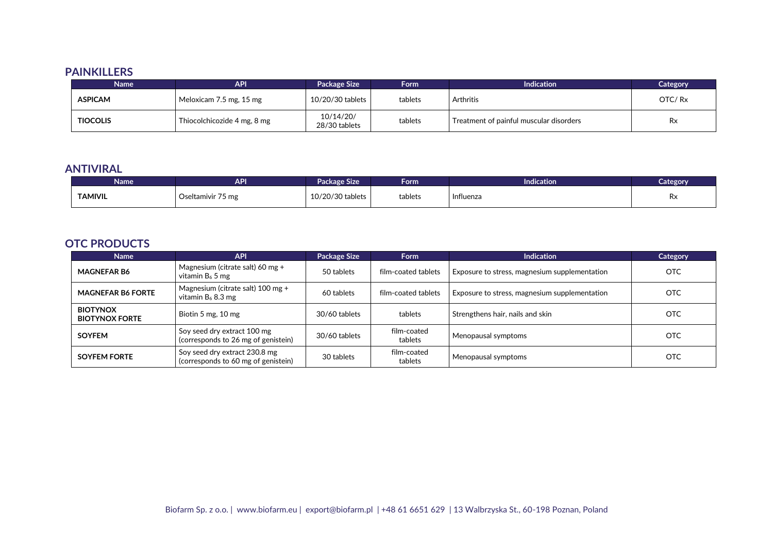## **PAINKILLERS**

| <b>Name</b>     | <b>API</b>                  | <b>Package Size</b>        | <b>Form</b> | <b>Indication</b>                       | Category  |
|-----------------|-----------------------------|----------------------------|-------------|-----------------------------------------|-----------|
| <b>ASPICAM</b>  | Meloxicam 7.5 mg, 15 mg     | 10/20/30 tablets           | tablets     | Arthritis                               | OTC/Rx    |
| <b>TIOCOLIS</b> | Thiocolchicozide 4 mg, 8 mg | 10/14/20/<br>28/30 tablets | tablets     | Treatment of painful muscular disorders | <b>Rx</b> |

## **ANTIVIRAL**

| Name'          | <b>API</b>                 | Package Size     | Form    | <b>Indication</b> | Category |
|----------------|----------------------------|------------------|---------|-------------------|----------|
| <b>TAMIVIL</b> | $- -$<br>Oseltamivir 75 mg | 10/20/30 tablets | tablets | Influenza         | Rx       |

# **OTC PRODUCTS**

| <b>Name</b>                              | <b>API</b>                                                           | Package Size  | <b>Form</b>            | <b>Indication</b>                             | Category   |
|------------------------------------------|----------------------------------------------------------------------|---------------|------------------------|-----------------------------------------------|------------|
| <b>MAGNEFAR B6</b>                       | Magnesium (citrate salt) 60 mg +<br>vitamin $B_6$ 5 mg               | 50 tablets    | film-coated tablets    | Exposure to stress, magnesium supplementation | OTC        |
| <b>MAGNEFAR B6 FORTE</b>                 | Magnesium (citrate salt) $100 \text{ mg} +$<br>vitamin $B_6$ 8.3 mg  | 60 tablets    | film-coated tablets    | Exposure to stress, magnesium supplementation | <b>OTC</b> |
| <b>BIOTYNOX</b><br><b>BIOTYNOX FORTE</b> | Biotin 5 mg, 10 mg                                                   | 30/60 tablets | tablets                | Strengthens hair, nails and skin              | <b>OTC</b> |
| <b>SOYFEM</b>                            | Soy seed dry extract 100 mg<br>(corresponds to 26 mg of genistein)   | 30/60 tablets | film-coated<br>tablets | Menopausal symptoms                           | <b>OTC</b> |
| <b>SOYFEM FORTE</b>                      | Soy seed dry extract 230.8 mg<br>(corresponds to 60 mg of genistein) | 30 tablets    | film-coated<br>tablets | Menopausal symptoms                           | <b>OTC</b> |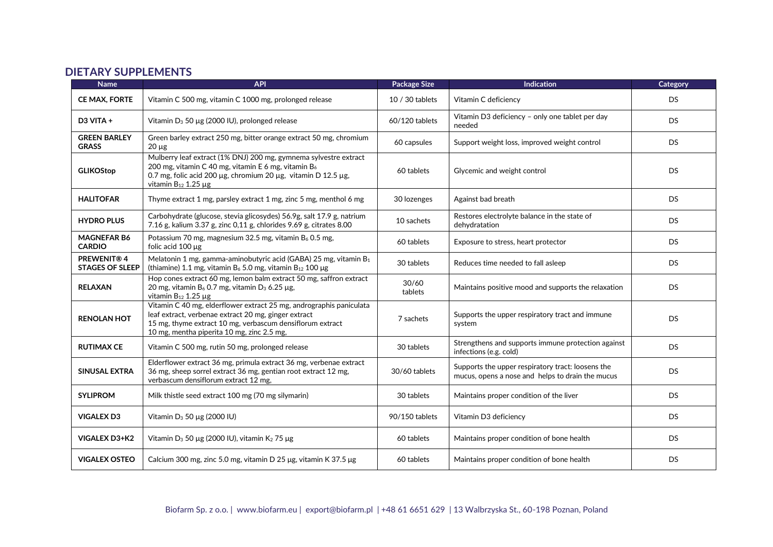#### **DIETARY SUPPLEMENTS**

| <b>Name</b>                                 | <b>API</b>                                                                                                                                                                                                                             | <b>Package Size</b> | <b>Indication</b>                                                                                     | Category  |
|---------------------------------------------|----------------------------------------------------------------------------------------------------------------------------------------------------------------------------------------------------------------------------------------|---------------------|-------------------------------------------------------------------------------------------------------|-----------|
| <b>CE MAX, FORTE</b>                        | Vitamin C 500 mg, vitamin C 1000 mg, prolonged release                                                                                                                                                                                 | 10 / 30 tablets     | Vitamin C deficiency                                                                                  | <b>DS</b> |
| $D3$ VITA +                                 | Vitamin $D_3$ 50 µg (2000 IU), prolonged release                                                                                                                                                                                       | 60/120 tablets      | Vitamin D3 deficiency - only one tablet per day<br>needed                                             | DS.       |
| <b>GREEN BARLEY</b><br><b>GRASS</b>         | Green barley extract 250 mg, bitter orange extract 50 mg, chromium<br>$20 \mu g$                                                                                                                                                       | 60 capsules         | Support weight loss, improved weight control                                                          | <b>DS</b> |
| <b>GLIKOStop</b>                            | Mulberry leaf extract (1% DNJ) 200 mg, gymnema sylvestre extract<br>200 mg, vitamin C 40 mg, vitamin E 6 mg, vitamin B6<br>0.7 mg, folic acid 200 μg, chromium 20 μg, vitamin D 12.5 μg,<br>vitamin $B_{12}$ 1.25 $\mu$ g              | 60 tablets          | Glycemic and weight control                                                                           | <b>DS</b> |
| <b>HALITOFAR</b>                            | Thyme extract 1 mg, parsley extract 1 mg, zinc 5 mg, menthol 6 mg                                                                                                                                                                      | 30 lozenges         | Against bad breath                                                                                    | DS.       |
| <b>HYDRO PLUS</b>                           | Carbohydrate (glucose, stevia glicosydes) 56.9g, salt 17.9 g, natrium<br>7.16 g, kalium 3.37 g, zinc 0,11 g, chlorides 9.69 g, citrates 8.00                                                                                           | 10 sachets          | Restores electrolyte balance in the state of<br>dehydratation                                         | DS.       |
| <b>MAGNEFAR B6</b><br><b>CARDIO</b>         | Potassium 70 mg, magnesium 32.5 mg, vitamin B6 0.5 mg,<br>folic acid $100 \mu$ g                                                                                                                                                       | 60 tablets          | Exposure to stress, heart protector                                                                   | <b>DS</b> |
| <b>PREWENIT®4</b><br><b>STAGES OF SLEEP</b> | Melatonin 1 mg, gamma-aminobutyric acid (GABA) 25 mg, vitamin B1<br>(thiamine) 1.1 mg, vitamin $B_6$ 5.0 mg, vitamin $B_{12}$ 100 µg                                                                                                   | 30 tablets          | Reduces time needed to fall asleep                                                                    | DS.       |
| <b>RELAXAN</b>                              | Hop cones extract 60 mg, lemon balm extract 50 mg, saffron extract<br>20 mg, vitamin B <sub>6</sub> 0.7 mg, vitamin D <sub>3</sub> 6.25 µg,<br>vitamin $B_{12}$ 1.25 $\mu$ g                                                           | 30/60<br>tablets    | Maintains positive mood and supports the relaxation                                                   | <b>DS</b> |
| <b>RENOLAN HOT</b>                          | Vitamin C 40 mg, elderflower extract 25 mg, andrographis paniculata<br>leaf extract, verbenae extract 20 mg, ginger extract<br>15 mg, thyme extract 10 mg, verbascum densiflorum extract<br>10 mg, mentha piperita 10 mg, zinc 2.5 mg, | 7 sachets           | Supports the upper respiratory tract and immune<br>system                                             | <b>DS</b> |
| <b>RUTIMAX CE</b>                           | Vitamin C 500 mg, rutin 50 mg, prolonged release                                                                                                                                                                                       | 30 tablets          | Strengthens and supports immune protection against<br>infections (e.g. cold)                          | <b>DS</b> |
| <b>SINUSAL EXTRA</b>                        | Elderflower extract 36 mg, primula extract 36 mg, verbenae extract<br>36 mg, sheep sorrel extract 36 mg, gentian root extract 12 mg,<br>verbascum densiflorum extract 12 mg,                                                           | 30/60 tablets       | Supports the upper respiratory tract: loosens the<br>mucus, opens a nose and helps to drain the mucus | <b>DS</b> |
| <b>SYLIPROM</b>                             | Milk thistle seed extract 100 mg (70 mg silymarin)                                                                                                                                                                                     | 30 tablets          | Maintains proper condition of the liver                                                               | <b>DS</b> |
| <b>VIGALEX D3</b>                           | Vitamin $D_3$ 50 µg (2000 IU)                                                                                                                                                                                                          | 90/150 tablets      | Vitamin D3 deficiency                                                                                 | <b>DS</b> |
| VIGALEX D3+K2                               | Vitamin D <sub>3</sub> 50 µg (2000 IU), vitamin K <sub>2</sub> 75 µg                                                                                                                                                                   | 60 tablets          | Maintains proper condition of bone health                                                             | <b>DS</b> |
| <b>VIGALEX OSTEO</b>                        | Calcium 300 mg, zinc 5.0 mg, vitamin D 25 $\mu$ g, vitamin K 37.5 $\mu$ g                                                                                                                                                              | 60 tablets          | Maintains proper condition of bone health                                                             | <b>DS</b> |